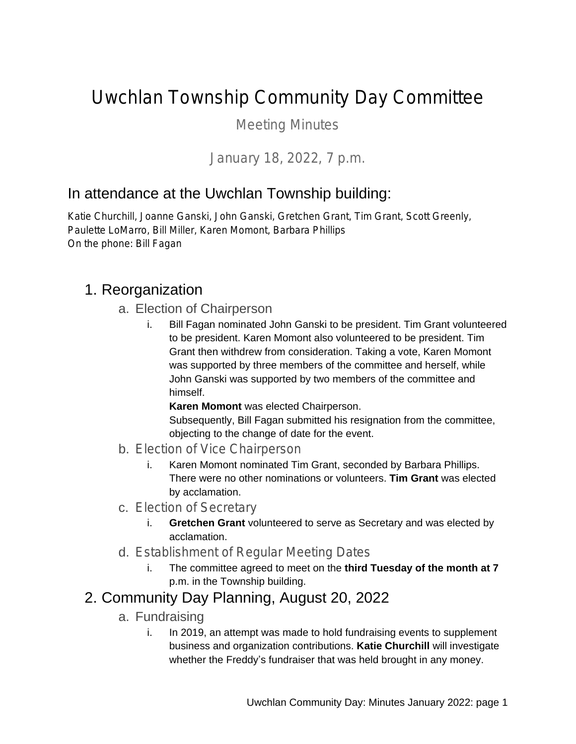# Uwchlan Township Community Day Committee

Meeting Minutes

### *January 18, 2022, 7 p.m.*

## In attendance at the Uwchlan Township building:

Katie Churchill, Joanne Ganski, John Ganski, Gretchen Grant, Tim Grant, Scott Greenly, Paulette LoMarro, Bill Miller, Karen Momont, Barbara Phillips On the phone: Bill Fagan

### 1. Reorganization

- a. Election of Chairperson
	- i. Bill Fagan nominated John Ganski to be president. Tim Grant volunteered to be president. Karen Momont also volunteered to be president. Tim Grant then withdrew from consideration. Taking a vote, Karen Momont was supported by three members of the committee and herself, while John Ganski was supported by two members of the committee and himself.

**Karen Momont** was elected Chairperson.

Subsequently, Bill Fagan submitted his resignation from the committee, objecting to the change of date for the event.

- b. Election of Vice Chairperson
	- i. Karen Momont nominated Tim Grant, seconded by Barbara Phillips. There were no other nominations or volunteers. **Tim Grant** was elected by acclamation.
- c. Election of Secretary
	- i. **Gretchen Grant** volunteered to serve as Secretary and was elected by acclamation.
- d. Establishment of Regular Meeting Dates
	- i. The committee agreed to meet on the **third Tuesday of the month at 7** p.m. in the Township building.

## 2. Community Day Planning, August 20, 2022

- a. Fundraising
	- i. In 2019, an attempt was made to hold fundraising events to supplement business and organization contributions. **Katie Churchill** will investigate whether the Freddy's fundraiser that was held brought in any money.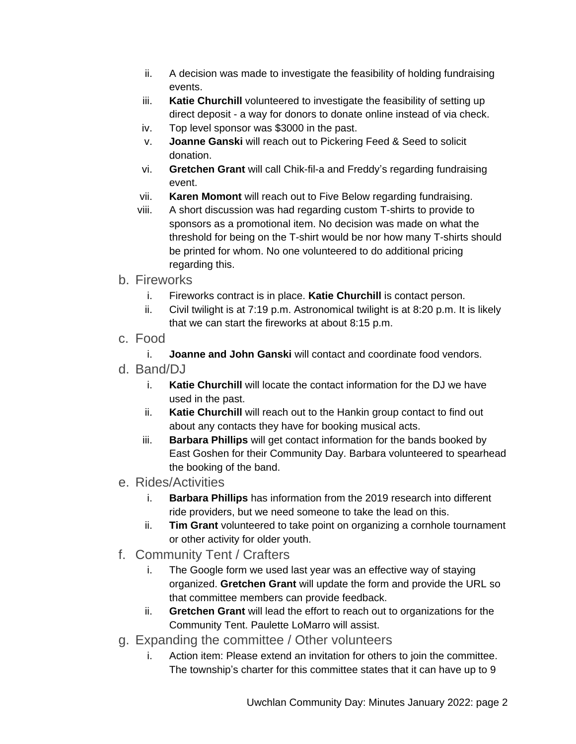- ii. A decision was made to investigate the feasibility of holding fundraising events.
- iii. **Katie Churchill** volunteered to investigate the feasibility of setting up direct deposit - a way for donors to donate online instead of via check.
- iv. Top level sponsor was \$3000 in the past.
- v. **Joanne Ganski** will reach out to Pickering Feed & Seed to solicit donation.
- vi. **Gretchen Grant** will call Chik-fil-a and Freddy's regarding fundraising event.
- vii. **Karen Momont** will reach out to Five Below regarding fundraising.
- viii. A short discussion was had regarding custom T-shirts to provide to sponsors as a promotional item. No decision was made on what the threshold for being on the T-shirt would be nor how many T-shirts should be printed for whom. No one volunteered to do additional pricing regarding this.
- b. Fireworks
	- i. Fireworks contract is in place. **Katie Churchill** is contact person.
	- ii. Civil twilight is at 7:19 p.m. Astronomical twilight is at 8:20 p.m. It is likely that we can start the fireworks at about 8:15 p.m.
- c. Food
	- i. **Joanne and John Ganski** will contact and coordinate food vendors.
- d. Band/D.I
	- i. **Katie Churchill** will locate the contact information for the DJ we have used in the past.
	- ii. **Katie Churchill** will reach out to the Hankin group contact to find out about any contacts they have for booking musical acts.
	- iii. **Barbara Phillips** will get contact information for the bands booked by East Goshen for their Community Day. Barbara volunteered to spearhead the booking of the band.
- e. Rides/Activities
	- i. **Barbara Phillips** has information from the 2019 research into different ride providers, but we need someone to take the lead on this.
	- ii. **Tim Grant** volunteered to take point on organizing a cornhole tournament or other activity for older youth.
- f. Community Tent / Crafters
	- i. The Google form we used last year was an effective way of staying organized. **Gretchen Grant** will update the form and provide the URL so that committee members can provide feedback.
	- ii. **Gretchen Grant** will lead the effort to reach out to organizations for the Community Tent. Paulette LoMarro will assist.
- g. Expanding the committee / Other volunteers
	- i. Action item: Please extend an invitation for others to join the committee. The township's charter for this committee states that it can have up to 9